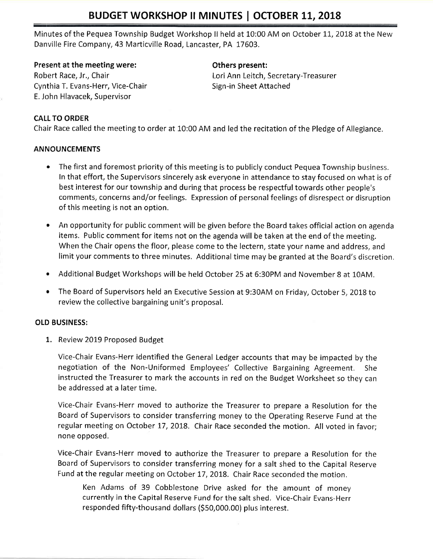# BUDGET WORKSHOP II MINUTES | OCTOBER 11, 2018

Minutes of the Pequea Township Budget Workshop II held at 10:00 AM on October 11, 2018 at the New Danville Fire Company, 43 Marticville Road, Lancaster, PA 17603.

Present at the meeting were: Robert Race, Jr,, Chair Cynthia T. Evans-Herr, Vice-Chair E. John Hlavacek, Supervisor

### Others present:

Lori Ann Leitch, Secretary-Treasurer Sign-in Sheet Attached

## CALL TO ORDER

Chair Race called the meeting to order at L0:00 AM and led the recitation of the Pledge of Allegiance.

### ANNOUNCEMENTS

- The first and foremost priority of this meeting is to publicly conduct Pequea Township business. In that effoft, the Supervisors sincerely ask everyone in attendance to stay focused on what is of best interest for our township and during that process be respectful towards other people's comments, concerns and/or feelings. Expression of personal feelings of disrespect or disruption of this meeting is not an option.
- An opportunity for public comment will be given before the Board takes official action on agenda items. Public comment for items not on the agenda will be taken at the end of the meeting. When the Chair opens the floor, please come to the lectern, state your name and address, and limit your comments to three minutes, Additional time may be granted at the Board's discretion.
- Additional Budget Workshops will be held October 25 at 6:30PM and November 8 at 10AM.
- o The Board of Supervisors held an Executive Session at 9:30AM on Friday, October 5, 2OL8 to review the collective bargaining unit's proposal.

### OLD BUSINESS:

1. Review 2019 Proposed Budget

Vice-Chair Evans-Herr identified the General Ledger accounts that may be impacted by the negotiation of the Non-Uniformed Employees' Collective Bargaining Agreement. She instructed the Treasurer to mark the accounts in red on the Budget Worksheet so they can be addressed at a later time.

Vice-Chair Evans-Herr moved to authorize the Treasurer to prepare a Resolution for the Board of Supervisors to consider transferring money to the Operating Reserve Fund at the regular meeting on October 17, 2018. Chair Race seconded the motion. All voted in favor; none opposed.

Vice-Chair Evans-Herr moved to authorize the Treasurer to prepare a Resolution for the Board of Supervisors to consider transferring money for a salt shed to the Capital Reserve Fund at the regular meeting on October 17, 2018. Chair Race seconded the motion.

Ken Adams of 39 Cobblestone Drive asked for the amount of money currently in the Capital Reserve Fund forthe salt shed. Vice-Chair Evans-Herr responded fifty-thousand dollars (\$50,000.00) plus interest.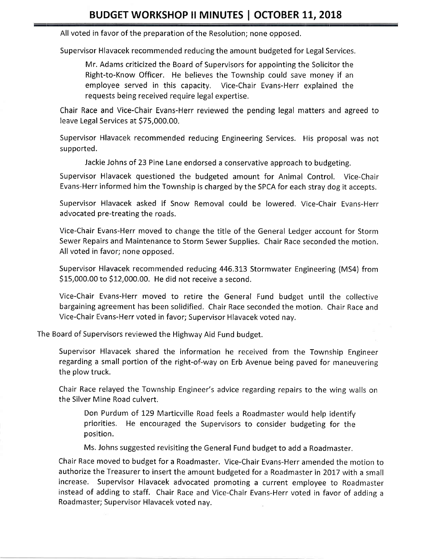All voted in favor of the preparation of the Resolution; none opposed,

Supervisor Hlavacek recommended reducing the amount budgeted for Legal Services.

Mr. Adams criticized the Board of Supervisors for appointing the Solicitor the Right-to-Know Officer. He believes the Township could save money if an employee served in this capacity, Vice-Chair Evans-Herr explained the requests being received require legal expertise,

Chair Race and Vice-Chair Evans-Herr reviewed the pending legal matters and agreed to leave Legal Services at \$75,000.00.

Supervisor Hlavacek recommended reducing Engineering Services. His proposal was not supported.

Jackie Johns of 23 Pine Lane endorsed a conservative approach to budgeting.

Supervisor Hlavacek questioned the budgeted amount for Animal Control. Vice-Chair Evans-Herr informed him the Township is charged by the SPCA for each stray dog it accepts.

Supervisor Hlavacek asked if Snow Removal could be lowered. Vice-Chair Evans-Herr advocated pre-treating the roads.

Vice-Chair Evans-Herr moved to change the title of the General Ledger account for Storm Sewer Repairs and Maintenance to Storm Sewer Supplies. Chair Race seconded the motion, All voted in favor; none opposed.

Supervisor Hlavacek recommended reducing 446.3L3 Stormwater Engineering (MS4) from S15,000.00 to 512,000,00. He did not receive a second.

Vice-Chair Evans-Herr moved to retire the General Fund budget until the collective bargaining agreement has been solidified. Chair Race seconded the motion. Chair Race and Vice-Chair Evans-Herr voted in favor; Supervisor Hlavacek voted nay.

The Board of Supervisors reviewed the Highway Aid Fund budget.

Supervisor Hlavacek shared the information he received from the Township Engineer regarding a small portion of the right-of-way on Erb Avenue being paved for maneuvering the plow truck.

Chair Race relayed the Township Engineer's advice regarding repairs to the wing walls on the Silver Mine Road culvert.

Don Purdum of 129 Marticville Road feels a Roadmaster would help identify priorities. He encouraged the Supervisors to consider budgeting for the position.

Ms. Johns suggested revisiting the General Fund budget to add a Roadmaster.

Chair Race moved to budget for a Roadmaster. Vice-Chair Evans-Herr amended the motion to authorize the Treasurer to insert the amount budgeted for a Roadmaster in 2017 with a small increase. Supervisor Hlavacek advocated promoting a current employee to Roadmaster instead of adding to staff. Chair Race and Vice-Chair Evans-Herr voted in favor of adding <sup>a</sup> Roadmaster; Supervisor Hlavacek voted nay.